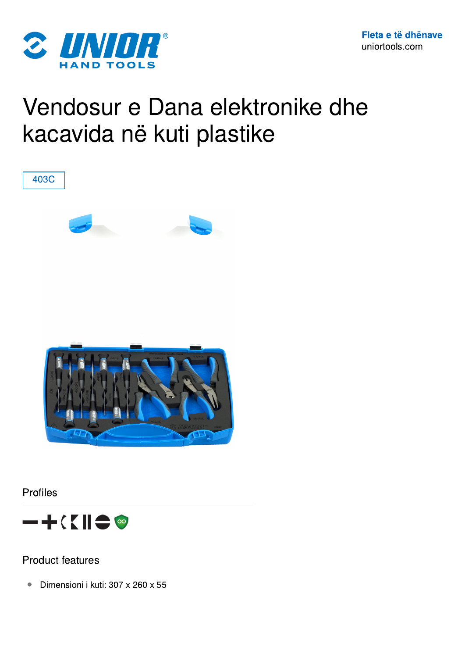

## Vendosur e Dana elektronike dhe kacavida në kuti plastike



Profiles



Product features

● Dimensioni i kuti: 307 x 260 x 55